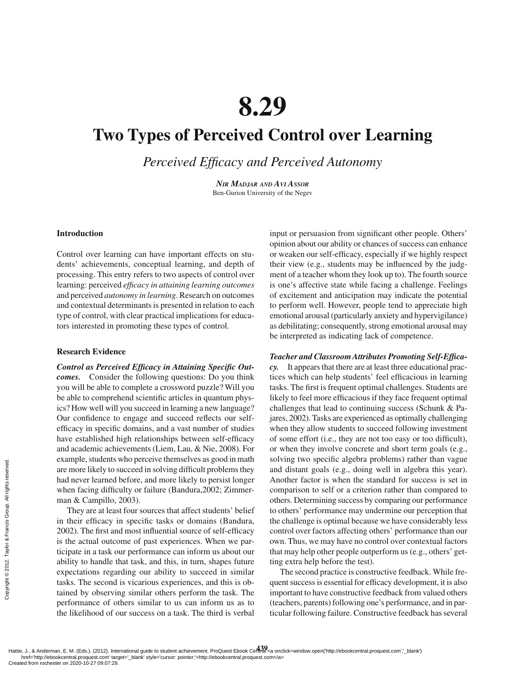# **8.29**

## **[Two Types of Perceived Control over Learning](#page--1-0)**

**Perceived Efficacy and Perceived Autonomy** 

*NIR MADJAR AND AVI ASSOR* Ben-Gurion University of the Negev

#### **Introduction**

Control over learning can have important effects on students' achievements, conceptual learning, and depth of processing. This entry refers to two aspects of control over learning: perceived *efficacy in attaining learning outcomes* and perceived *autonomy in learning*. Research on outcomes and contextual determinants is presented in relation to each type of control, with clear practical implications for educators interested in promoting these types of control.

#### **Research Evidence**

**Control as Perceived Efficacy in Attaining Specific Out***comes.* Consider the following questions: Do you think you will be able to complete a crossword puzzle? Will you be able to comprehend scientific articles in quantum physics? How well will you succeed in learning a new language? Our confidence to engage and succeed reflects our selfefficacy in specific domains, and a vast number of studies have established high relationships between self-efficacy and academic achievements (Liem, Lau, & Nie, 2008). For example, students who perceive themselves as good in math are more likely to succeed in solving difficult problems they had never learned before, and more likely to persist longer when facing difficulty or failure (Bandura, 2002; Zimmerman & Campillo, 2003).

They are at least four sources that affect students' belief in their efficacy in specific tasks or domains (Bandura, 2002). The first and most influential source of self-efficacy is the actual outcome of past experiences. When we participate in a task our performance can inform us about our ability to handle that task, and this, in turn, shapes future expectations regarding our ability to succeed in similar tasks. The second is vicarious experiences, and this is obtained by observing similar others perform the task. The performance of others similar to us can inform us as to the likelihood of our success on a task. The third is verbal Example, students<br>
are more likely to s<br>
had never learned<br>
when facing diffic<br>
man & Campillo,<br>
They are at leas<br>
in their efficacy i<br>
2002). The first an<br>
is the actual outco<br>
ticipate in a task o<br>
ability to handle t<br>

input or persuasion from significant other people. Others' opinion about our ability or chances of success can enhance or weaken our self-efficacy, especially if we highly respect their view (e.g., students may be influenced by the judgment of a teacher whom they look up to). The fourth source is one's affective state while facing a challenge. Feelings of excitement and anticipation may indicate the potential to perform well. However, people tend to appreciate high emotional arousal (particularly anxiety and hypervigilance) as debilitating; consequently, strong emotional arousal may be interpreted as indicating lack of competence.

### Teacher and Classroom Attributes Promoting Self-Effica-

*cy.* It appears that there are at least three educational practices which can help students' feel efficacious in learning tasks. The first is frequent optimal challenges. Students are likely to feel more efficacious if they face frequent optimal challenges that lead to continuing success (Schunk & Pajares, 2002). Tasks are experienced as optimally challenging when they allow students to succeed following investment of some effort (i.e., they are not too easy or too difficult), or when they involve concrete and short term goals (e.g., solving two specific algebra problems) rather than vague and distant goals (e.g., doing well in algebra this year). Another factor is when the standard for success is set in comparison to self or a criterion rather than compared to others. Determining success by comparing our performance to others' performance may undermine our perception that the challenge is optimal because we have considerably less control over factors affecting others' performance than our own. Thus, we may have no control over contextual factors that may help other people outperform us (e.g., others' getting extra help before the test).

The second practice is constructive feedback. While frequent success is essential for efficacy development, it is also important to have constructive feedback from valued others (teachers, parents) following one's performance, and in particular following failure. Constructive feedback has several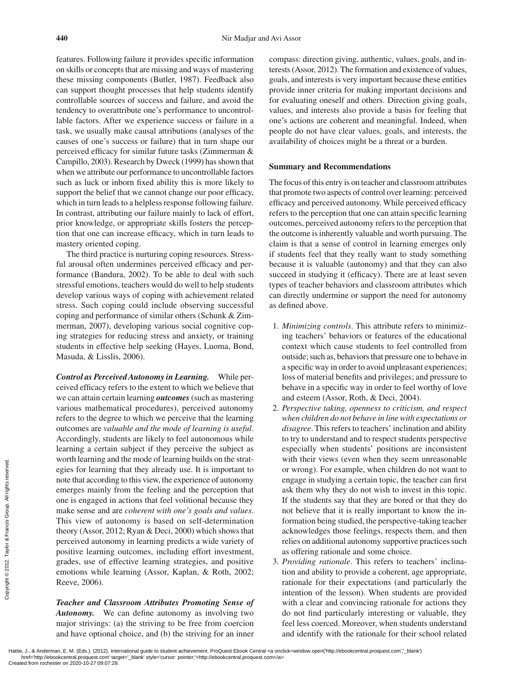features. Following failure it provides specific information on skills or concepts that are missing and ways of mastering these missing components (Butler, 1987). Feedback also can support thought processes that help students identify controllable sources of success and failure, and avoid the tendency to overattribute one's performance to uncontrollable factors. After we experience success or failure in a task, we usually make causal attributions (analyses of the causes of one's success or failure) that in turn shape our perceived efficacy for similar future tasks (Zimmerman  $\&$ Campillo, 2003). Research by Dweck (1999) has shown that when we attribute our performance to uncontrollable factors such as luck or inborn fixed ability this is more likely to support the belief that we cannot change our poor efficacy, which in turn leads to a helpless response following failure. In contrast, attributing our failure mainly to lack of effort, prior knowledge, or appropriate skills fosters the perception that one can increase efficacy, which in turn leads to mastery oriented coping.

The third practice is nurturing coping resources. Stressful arousal often undermines perceived efficacy and performance (Bandura, 2002). To be able to deal with such stressful emotions, teachers would do well to help students develop various ways of coping with achievement related stress. Such coping could include observing successful coping and performance of similar others (Schunk & Zimmerman, 2007), developing various social cognitive coping strategies for reducing stress and anxiety, or training students in effective help seeking (Hayes, Luoma, Bond, Masuda, & Lisslis, 2006).

*Control as Perceived Autonomy in Learning.* While perceived efficacy refers to the extent to which we believe that we can attain certain learning *outcomes* (such as mastering various mathematical procedures), perceived autonomy refers to the degree to which we perceive that the learning outcomes are *valuable and the mode of learning is useful*. Accordingly, students are likely to feel autonomous while learning a certain subject if they perceive the subject as worth learning and the mode of learning builds on the strategies for learning that they already use. It is important to note that according to this view, the experience of autonomy emerges mainly from the feeling and the perception that one is engaged in actions that feel volitional because they make sense and are *coherent with one's goals and values*. This view of autonomy is based on self-determination theory (Assor, 2012; Ryan & Deci, 2000) which shows that perceived autonomy in learning predicts a wide variety of positive learning outcomes, including effort investment, grades, use of effective learning strategies, and positive emotions while learning (Assor, Kaplan, & Roth, 2002; Reeve, 2006). Example 2013<br>
Example 2013<br>
Example 2013<br>
Example 2013<br>
Example 2013<br>
Example 2013<br>
Example 2013<br>
Example 2013<br>
Example 2013<br>
Created from rochester on 2020-10-27 09:07:29.<br>
Created from rochester on 2020-10-27 09:07:29.<br>

*Teacher and Classroom Attributes Promoting Sense of Autonomy.* We can define autonomy as involving two major strivings: (a) the striving to be free from coercion and have optional choice, and (b) the striving for an inner compass: direction giving, authentic, values, goals, and interests (Assor, 2012). The formation and existence of values, goals, and interests is very important because these entities provide inner criteria for making important decisions and for evaluating oneself and others. Direction giving goals, values, and interests also provide a basis for feeling that one's actions are coherent and meaningful. Indeed, when people do not have clear values, goals, and interests, the availability of choices might be a threat or a burden.

#### **Summary and Recommendations**

The focus of this entry is on teacher and classroom attributes that promote two aspects of control over learning: perceived efficacy and perceived autonomy. While perceived efficacy refers to the perception that one can attain specific learning outcomes, perceived autonomy refers to the perception that the outcome is inherently valuable and worth pursuing. The claim is that a sense of control in learning emerges only if students feel that they really want to study something because it is valuable (autonomy) and that they can also succeed in studying it (efficacy). There are at least seven types of teacher behaviors and classroom attributes which can directly undermine or support the need for autonomy as defined above.

- 1. *Minimizing controls*. This attribute refers to minimizing teachers' behaviors or features of the educational context which cause students to feel controlled from outside; such as, behaviors that pressure one to behave in a specific way in order to avoid unpleasant experiences; loss of material benefits and privileges; and pressure to behave in a specific way in order to feel worthy of love and esteem (Assor, Roth, & Deci, 2004).
- 2. *Perspective taking, openness to criticism, and respect when children do not behave in line with expectations or disagree*. This refers to teachers' inclination and ability to try to understand and to respect students perspective especially when students' positions are inconsistent with their views (even when they seem unreasonable or wrong). For example, when children do not want to engage in studying a certain topic, the teacher can first ask them why they do not wish to invest in this topic. If the students say that they are bored or that they do not believe that it is really important to know the information being studied, the perspective-taking teacher acknowledges those feelings, respects them, and then relies on additional autonomy supportive practices such as offering rationale and some choice.
- 3. *Providing rationale*. This refers to teachers' inclination and ability to provide a coherent, age appropriate, rationale for their expectations (and particularly the intention of the lesson). When students are provided with a clear and convincing rationale for actions they do not find particularly interesting or valuable, they feel less coerced. Moreover, when students understand and identify with the rationale for their school related